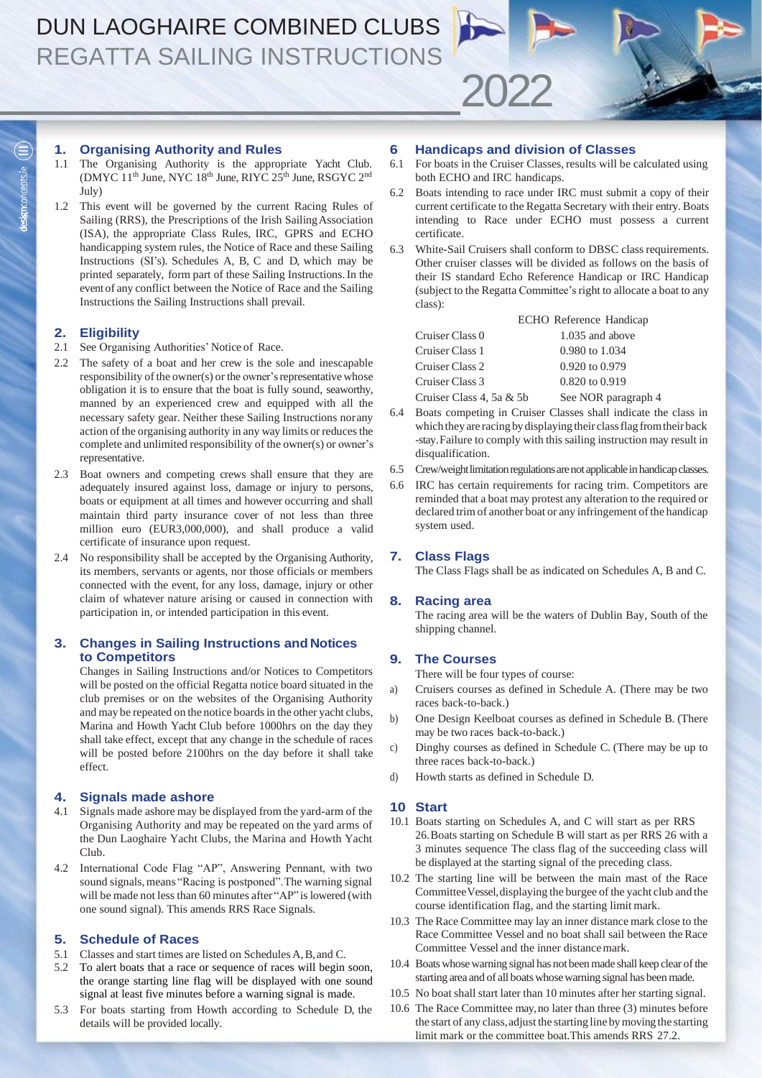### **1. Organising Authority and Rules**

- 1.1 The Organising Authority is the appropriate Yacht Club. (DMYC  $11<sup>th</sup>$  June, NYC  $18<sup>th</sup>$  June, RIYC  $25<sup>th</sup>$  June, RSGYC  $2<sup>nd</sup>$ July)
- 1.2 This event will be governed by the current Racing Rules of Sailing (RRS), the Prescriptions of the Irish SailingAssociation (ISA), the appropriate Class Rules, IRC, GPRS and ECHO handicapping system rules, the Notice of Race and these Sailing Instructions (SI's). Schedules A, B, C and D, which may be printed separately, form part of these Sailing Instructions.In the event of any conflict between the Notice of Race and the Sailing Instructions the Sailing Instructions shall prevail.

### **2. Eligibility**

- 2.1 See Organising Authorities' Notice of Race.
- 2.2 The safety of a boat and her crew is the sole and inescapable responsibility of the owner(s) or the owner's representative whose obligation it is to ensure that the boat is fully sound, seaworthy, manned by an experienced crew and equipped with all the necessary safety gear. Neither these Sailing Instructions norany action of the organising authority in any way limits or reduces the complete and unlimited responsibility of the owner(s) or owner's representative.
- 2.3 Boat owners and competing crews shall ensure that they are adequately insured against loss, damage or injury to persons, boats or equipment at all times and however occurring and shall maintain third party insurance cover of not less than three million euro (EUR3,000,000), and shall produce a valid certificate of insurance upon request.
- 2.4 No responsibility shall be accepted by the Organising Authority, its members, servants or agents, nor those officials or members connected with the event, for any loss, damage, injury or other claim of whatever nature arising or caused in connection with participation in, or intended participation in this event.

### **3. Changes in Sailing Instructions and Notices to Competitors**

Changes in Sailing Instructions and/or Notices to Competitors will be posted on the official Regatta notice board situated in the club premises or on the websites of the Organising Authority and may be repeated on the notice boards in the other yacht clubs, Marina and Howth Yacht Club before 1000hrs on the day they shall take effect, except that any change in the schedule of races will be posted before 2100hrs on the day before it shall take effect.

### **4. Signals made ashore**

- Signals made ashore may be displayed from the yard-arm of the Organising Authority and may be repeated on the yard arms of the Dun Laoghaire Yacht Clubs, the Marina and Howth Yacht Club.
- 4.2 International Code Flag "AP", Answering Pennant, with two sound signals, means "Racing is postponed". The warning signal will be made not less than 60 minutes after "AP" is lowered (with one sound signal). This amends RRS Race Signals.

### **5. Schedule of Races**

- 5.1 Classes and start times are listed on Schedules A,B,and C.
- 5.2 To alert boats that a race or sequence of races will begin soon, the orange starting line flag will be displayed with one sound signal at least five minutes before a warning signal is made.
- 5.3 For boats starting from Howth according to Schedule D, the details will be provided locally.

# **6 Handicaps and division of Classes**

2022

- 6.1 For boats in the Cruiser Classes, results will be calculated using both ECHO and IRC handicaps.
- 6.2 Boats intending to race under IRC must submit a copy of their current certificate to the Regatta Secretary with their entry. Boats intending to Race under ECHO must possess a current certificate.
- 6.3 White-Sail Cruisers shall conform to DBSC class requirements. Other cruiser classes will be divided as follows on the basis of their IS standard Echo Reference Handicap or IRC Handicap (subject to the Regatta Committee's right to allocate a boat to any class):

|                          | ECHO Reference Handicap |
|--------------------------|-------------------------|
| Cruiser Class 0          | 1.035 and above         |
| Cruiser Class 1          | 0.980 to 1.034          |
| Cruiser Class 2          | 0.920 to 0.979          |
| Cruiser Class 3          | 0.820 to 0.919          |
| Cruiser Class 4, 5a & 5b | See NOR paragraph 4     |

- 6.4 Boats competing in Cruiser Classes shall indicate the class in which they are racing by displaying their class flag from their back -stay.Failure to comply with this sailing instruction may result in disqualification.
- 6.5 Crew/weight limitation regulations are not applicable in handicap classes.
- 6.6 IRC has certain requirements for racing trim. Competitors are reminded that a boat may protest any alteration to the required or declared trim of another boat or any infringement of the handicap system used.

### **7. Class Flags**

The Class Flags shall be as indicated on Schedules A, B and C.

### **8. Racing area**

The racing area will be the waters of Dublin Bay, South of the shipping channel.

### **9. The Courses**

There will be four types of course:

- a) Cruisers courses as defined in Schedule A. (There may be two races back-to-back.)
- b) One Design Keelboat courses as defined in Schedule B. (There may be two races back-to-back.)
- c) Dinghy courses as defined in Schedule C. (There may be up to three races back-to-back.)
- d) Howth starts as defined in Schedule D.

#### **10 Start**

- 10.1 Boats starting on Schedules A, and C will start as per RRS 26.Boats starting on Schedule B will start as per RRS 26 with a 3 minutes sequence The class flag of the succeeding class will be displayed at the starting signal of the preceding class.
- 10.2 The starting line will be between the main mast of the Race CommitteeVessel,displaying the burgee of the yacht club and the course identification flag, and the starting limit mark.
- 10.3 The Race Committee may lay an inner distance mark close to the Race Committee Vessel and no boat shall sail between the Race Committee Vessel and the inner distance mark.
- 10.4 Boats whose warning signal has not been made shall keep clear of the starting area and of all boats whosewarning signal has been made.
- 10.5 No boat shall start later than 10 minutes after her starting signal.
- 10.6 The Race Committee may,no later than three (3) minutes before the start of any class,adjust the starting line bymoving the starting limit mark or the committee boat.This amends RRS 27.2.